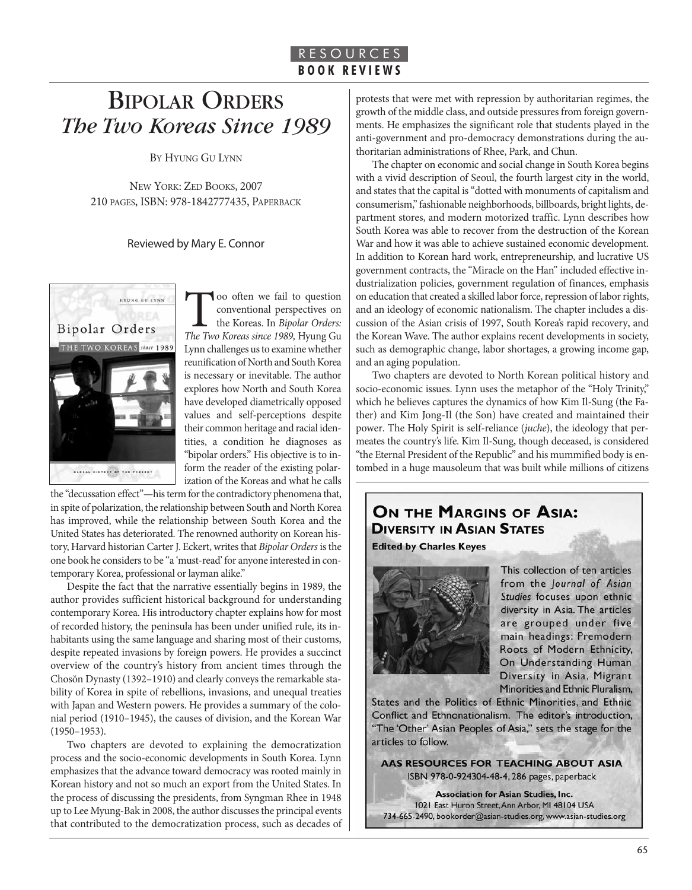# BIPOLAR ORDERS *The Two Koreas Since 1989*

BY HYUNG GU LYNN

NEW YORK: ZED BOOKS, 2007 210 PAGES, ISBN: 978-1842777435, PAPERBACK

#### Reviewed by Mary E. Connor



Too often we fail to question<br>
conventional perspectives on<br>
the Koreas In Bipolar Orders:<br>
The Two Koreas since 1989, Hyung Gu conventional perspectives on the Koreas. In Bipolar Orders: Lynn challenges us to examine whether reunification of North and South Korea is necessary or inevitable. The author explores how North and South Korea have developed diametrically opposed values and self-perceptions despite their common heritage and racial identities, a condition he diagnoses as "bipolar orders." His objective is to inform the reader of the existing polarization of the Koreas and what he calls

the "decussation effect"—his term for the contradictory phenomena that, in spite of polarization, the relationship between South and North Korea has improved, while the relationship between South Korea and the United States has deteriorated. The renowned authority on Korean history, Harvard historian Carter J. Eckert, writes that Bipolar Orders is the one book he considers to be "a 'must-read' for anyone interested in contemporary Korea, professional or layman alike."

Despite the fact that the narrative essentially begins in 1989, the author provides sufficient historical background for understanding contemporary Korea. His introductory chapter explains how for most of recorded history, the peninsula has been under unified rule, its inhabitants using the same language and sharing most of their customs, despite repeated invasions by foreign powers. He provides a succinct overview of the country's history from ancient times through the Chosŏn Dynasty (1392–1910) and clearly conveys the remarkable stability of Korea in spite of rebellions, invasions, and unequal treaties with Japan and Western powers. He provides a summary of the colonial period (1910–1945), the causes of division, and the Korean War (1950–1953).

Two chapters are devoted to explaining the democratization process and the socio-economic developments in South Korea. Lynn emphasizes that the advance toward democracy was rooted mainly in Korean history and not so much an export from the United States. In the process of discussing the presidents, from Syngman Rhee in 1948 up to Lee Myung-Bak in 2008, the author discusses the principal events that contributed to the democratization process, such as decades of protests that were met with repression by authoritarian regimes, the growth of the middle class, and outside pressures from foreign governments. He emphasizes the significant role that students played in the anti-government and pro-democracy demonstrations during the authoritarian administrations of Rhee, Park, and Chun.

The chapter on economic and social change in South Korea begins with a vivid description of Seoul, the fourth largest city in the world, and states that the capital is "dotted with monuments of capitalism and consumerism," fashionable neighborhoods, billboards, bright lights, department stores, and modern motorized traffic. Lynn describes how South Korea was able to recover from the destruction of the Korean War and how it was able to achieve sustained economic development. In addition to Korean hard work, entrepreneurship, and lucrative US government contracts, the "Miracle on the Han" included effective industrialization policies, government regulation of finances, emphasis on education that created a skilled labor force, repression of labor rights, and an ideology of economic nationalism. The chapter includes a discussion of the Asian crisis of 1997, South Korea's rapid recovery, and the Korean Wave. The author explains recent developments in society, such as demographic change, labor shortages, a growing income gap, and an aging population.

Two chapters are devoted to North Korean political history and socio-economic issues. Lynn uses the metaphor of the "Holy Trinity," which he believes captures the dynamics of how Kim Il-Sung (the Father) and Kim Jong-Il (the Son) have created and maintained their power. The Holy Spirit is self-reliance (juche), the ideology that permeates the country's life. Kim Il-Sung, though deceased, is considered "the Eternal President of the Republic" and his mummified body is entombed in a huge mausoleum that was built while millions of citizens

### ON THE MARGINS OF ASIA: **DIVERSITY IN ASIAN STATES**

**Edited by Charles Keyes** 



This collection of ten articles from the Journal of Asian Studies focuses upon ethnic diversity in Asia. The articles are grouped under five main headings: Premodern Roots of Modern Ethnicity, On Understanding Human Diversity in Asia, Migrant Minorities and Ethnic Pluralism,

States and the Politics of Ethnic Minorities, and Ethnic Conflict and Ethnonationalism. The editor's introduction, "The 'Other' Asian Peoples of Asia," sets the stage for the articles to follow.

AAS RESOURCES FOR TEACHING ABOUT ASIA ISBN 978-0-924304-48-4, 286 pages, paperback

**Association for Asian Studies, Inc.** 1021 East Huron Street, Ann Arbor, MI 48104 USA 734-665-2490, bookorder@asian-studies.org, www.asian-studies.org